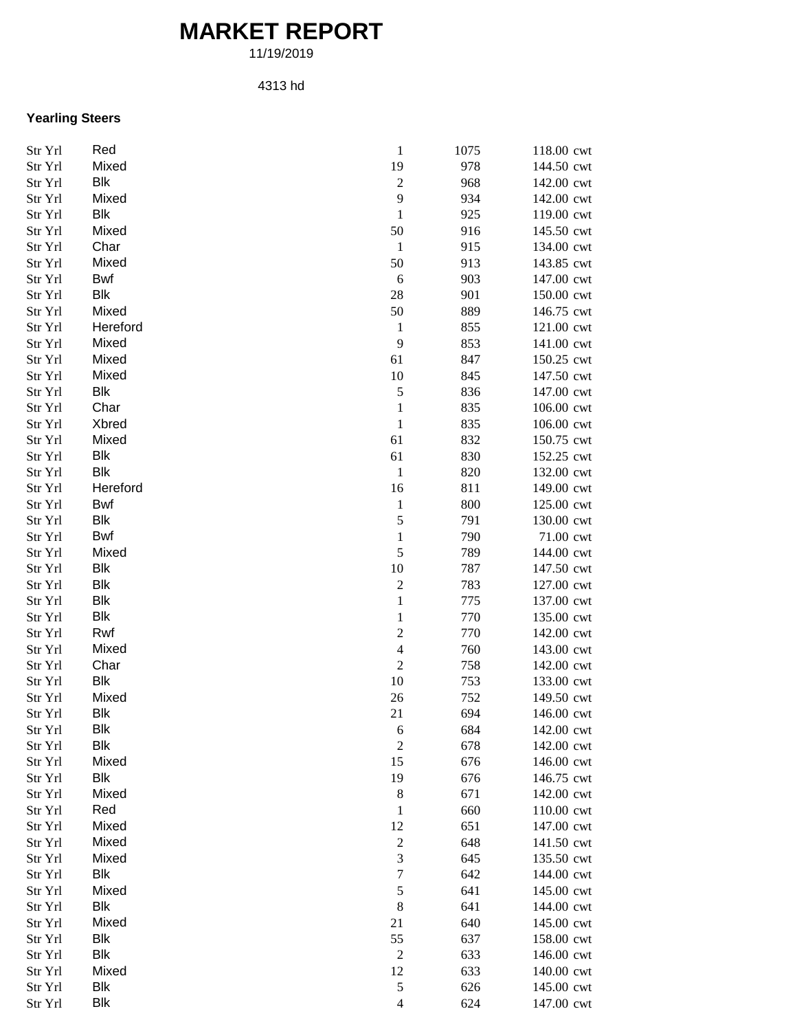## **MARKET REPORT**

11/19/2019

## 4313 hd

## **Yearling Steers**

| Str Yrl | Red        | $\mathbf{1}$             | 1075 | 118.00 cwt |
|---------|------------|--------------------------|------|------------|
| Str Yrl | Mixed      | 19                       | 978  | 144.50 cwt |
| Str Yrl | Blk        | $\sqrt{2}$               | 968  | 142.00 cwt |
| Str Yrl | Mixed      | 9                        | 934  | 142.00 cwt |
| Str Yrl | Blk        | $\mathbf{1}$             | 925  | 119.00 cwt |
| Str Yrl | Mixed      | 50                       | 916  | 145.50 cwt |
| Str Yrl | Char       | $\mathbf{1}$             | 915  | 134.00 cwt |
| Str Yrl | Mixed      | 50                       | 913  | 143.85 cwt |
| Str Yrl | Bwf        | 6                        | 903  | 147.00 cwt |
| Str Yrl | Blk        | 28                       | 901  | 150.00 cwt |
| Str Yrl | Mixed      | 50                       | 889  | 146.75 cwt |
| Str Yrl | Hereford   | $\mathbf{1}$             | 855  | 121.00 cwt |
| Str Yrl | Mixed      | 9                        | 853  | 141.00 cwt |
| Str Yrl | Mixed      | 61                       | 847  | 150.25 cwt |
| Str Yrl | Mixed      | 10                       | 845  | 147.50 cwt |
| Str Yrl | Blk        | 5                        | 836  | 147.00 cwt |
| Str Yrl | Char       | $\mathbf{1}$             | 835  | 106.00 cwt |
| Str Yrl | Xbred      | $\mathbf{1}$             | 835  | 106.00 cwt |
| Str Yrl | Mixed      | 61                       | 832  | 150.75 cwt |
| Str Yrl | Blk        | 61                       | 830  | 152.25 cwt |
| Str Yrl | <b>Blk</b> | $\mathbf{1}$             | 820  | 132.00 cwt |
| Str Yrl | Hereford   | 16                       | 811  | 149.00 cwt |
| Str Yrl | Bwf        | $\mathbf{1}$             | 800  | 125.00 cwt |
| Str Yrl | Blk        | 5                        | 791  | 130.00 cwt |
| Str Yrl | Bwf        | 1                        | 790  | 71.00 cwt  |
| Str Yrl | Mixed      | 5                        | 789  | 144.00 cwt |
| Str Yrl | Blk        | 10                       | 787  | 147.50 cwt |
| Str Yrl | Blk        | $\boldsymbol{2}$         | 783  | 127.00 cwt |
| Str Yrl | Blk        | $\mathbf{1}$             | 775  | 137.00 cwt |
| Str Yrl | <b>Blk</b> | 1                        | 770  | 135.00 cwt |
| Str Yrl | Rwf        | $\overline{c}$           | 770  | 142.00 cwt |
| Str Yrl | Mixed      | $\overline{\mathcal{L}}$ | 760  | 143.00 cwt |
| Str Yrl | Char       | $\overline{2}$           | 758  | 142.00 cwt |
| Str Yrl | Blk        | $10\,$                   | 753  | 133.00 cwt |
| Str Yrl | Mixed      | 26                       | 752  | 149.50 cwt |
| Str Yrl | Blk        | 21                       | 694  | 146.00 cwt |
| Str Yrl | <b>Blk</b> | 6                        | 684  | 142.00 cwt |
| Str Yrl | Blk        | $\overline{c}$           | 678  | 142.00 cwt |
| Str Yrl | Mixed      | 15                       | 676  | 146.00 cwt |
| Str Yrl | Blk        | 19                       | 676  | 146.75 cwt |
| Str Yrl | Mixed      | $\,$ 8 $\,$              | 671  | 142.00 cwt |
| Str Yrl | Red        | 1                        | 660  | 110.00 cwt |
| Str Yrl | Mixed      | 12                       | 651  | 147.00 cwt |
| Str Yrl | Mixed      | $\overline{c}$           | 648  | 141.50 cwt |
| Str Yrl | Mixed      | 3                        | 645  | 135.50 cwt |
| Str Yrl | Blk        | $\overline{7}$           | 642  | 144.00 cwt |
| Str Yrl | Mixed      | 5                        | 641  | 145.00 cwt |
| Str Yrl | Blk        | $\,$ 8 $\,$              | 641  | 144.00 cwt |
| Str Yrl | Mixed      | 21                       | 640  | 145.00 cwt |
| Str Yrl | Blk        | 55                       | 637  | 158.00 cwt |
| Str Yrl | <b>Blk</b> | $\boldsymbol{2}$         | 633  | 146.00 cwt |
| Str Yrl | Mixed      | 12                       | 633  | 140.00 cwt |
| Str Yrl | Blk        | $\mathfrak s$            | 626  | 145.00 cwt |
| Str Yrl | <b>Blk</b> | $\overline{4}$           | 624  | 147.00 cwt |
|         |            |                          |      |            |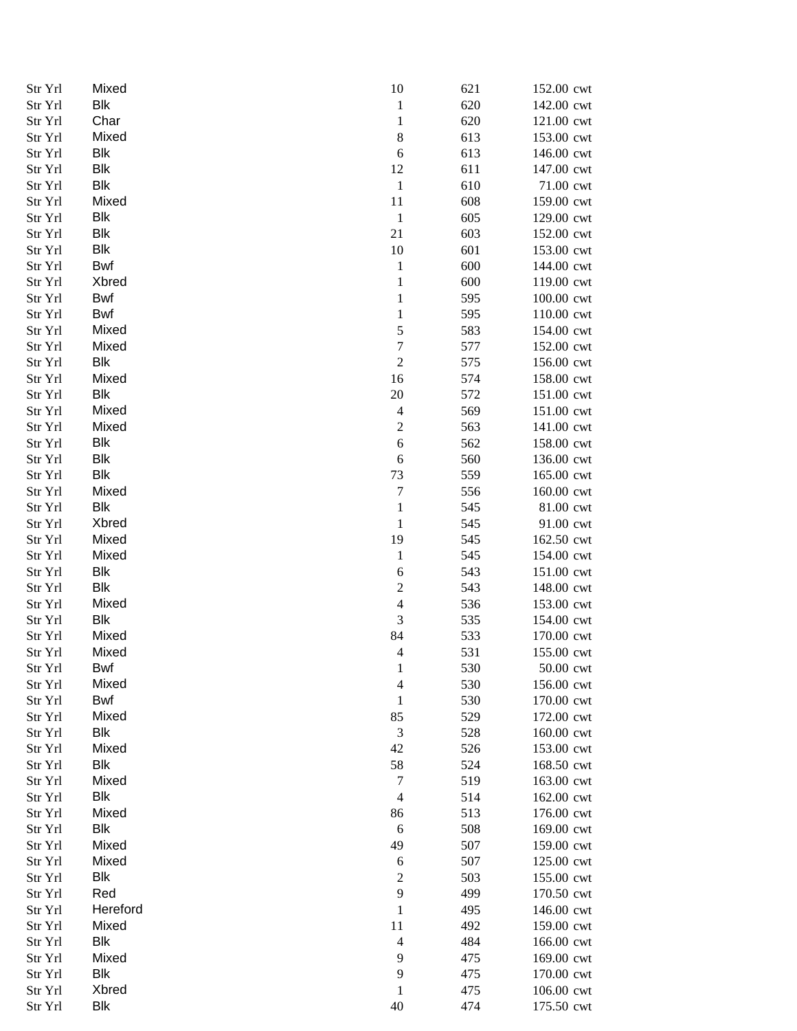| Str Yrl | Mixed      | 10               | 621 | 152.00 cwt  |
|---------|------------|------------------|-----|-------------|
| Str Yrl | <b>Blk</b> | $\mathbf{1}$     | 620 | 142.00 cwt  |
| Str Yrl | Char       | $\mathbf{1}$     | 620 | 121.00 cwt  |
| Str Yrl | Mixed      | $\,8\,$          | 613 | 153.00 cwt  |
| Str Yrl | Blk        | $\boldsymbol{6}$ | 613 | 146.00 cwt  |
| Str Yrl | <b>Blk</b> | 12               | 611 | 147.00 cwt  |
| Str Yrl | Blk        | $\mathbf{1}$     | 610 | 71.00 cwt   |
| Str Yrl | Mixed      | 11               | 608 | 159.00 cwt  |
| Str Yrl | Blk        | $\mathbf{1}$     | 605 | 129.00 cwt  |
| Str Yrl | <b>Blk</b> | 21               | 603 | 152.00 cwt  |
| Str Yrl | Blk        | 10               | 601 | 153.00 cwt  |
| Str Yrl | Bwf        | $\mathbf{1}$     | 600 | 144.00 cwt  |
| Str Yrl | Xbred      | $\mathbf{1}$     | 600 | 119.00 cwt  |
| Str Yrl | Bwf        | $\mathbf{1}$     | 595 | 100.00 cwt  |
| Str Yrl | Bwf        | $\mathbf{1}$     | 595 | 110.00 cwt  |
| Str Yrl | Mixed      | 5                | 583 | 154.00 cwt  |
| Str Yrl | Mixed      | $\overline{7}$   | 577 | 152.00 cwt  |
| Str Yrl | <b>Blk</b> | $\sqrt{2}$       | 575 | 156.00 cwt  |
| Str Yrl | Mixed      | 16               | 574 | 158.00 cwt  |
| Str Yrl | <b>Blk</b> | $20\,$           | 572 | 151.00 cwt  |
| Str Yrl | Mixed      | $\overline{4}$   | 569 | 151.00 cwt  |
| Str Yrl | Mixed      | $\boldsymbol{2}$ | 563 | 141.00 cwt  |
| Str Yrl | <b>Blk</b> | 6                | 562 | 158.00 cwt  |
| Str Yrl | <b>Blk</b> | 6                | 560 | 136.00 cwt  |
| Str Yrl | <b>Blk</b> | 73               | 559 | 165.00 cwt  |
| Str Yrl | Mixed      | $\tau$           | 556 | 160.00 cwt  |
| Str Yrl | <b>Blk</b> | $\mathbf{1}$     | 545 | 81.00 cwt   |
| Str Yrl | Xbred      | $\mathbf 1$      | 545 | 91.00 cwt   |
| Str Yrl | Mixed      | 19               | 545 | 162.50 cwt  |
| Str Yrl | Mixed      | $\mathbf{1}$     | 545 | 154.00 cwt  |
| Str Yrl | <b>Blk</b> | 6                | 543 | 151.00 cwt  |
| Str Yrl | <b>Blk</b> | $\boldsymbol{2}$ | 543 | 148.00 cwt  |
| Str Yrl | Mixed      | $\overline{4}$   | 536 | 153.00 cwt  |
| Str Yrl | Blk        | 3                | 535 | 154.00 cwt  |
| Str Yrl | Mixed      | 84               | 533 | 170.00 cwt  |
| Str Yrl | Mixed      | $\overline{4}$   | 531 | 155.00 cwt  |
| Str Yrl | Bwf        | 1                | 530 | $50.00$ cwt |
| Str Yrl | Mixed      | 4                | 530 | 156.00 cwt  |
| Str Yrl | <b>Bwf</b> | $\mathbf{1}$     | 530 | 170.00 cwt  |
| Str Yrl | Mixed      | 85               | 529 | 172.00 cwt  |
| Str Yrl | <b>Blk</b> | $\mathfrak{Z}$   | 528 | 160.00 cwt  |
| Str Yrl | Mixed      | 42               | 526 | 153.00 cwt  |
| Str Yrl | <b>Blk</b> | 58               | 524 | 168.50 cwt  |
| Str Yrl | Mixed      | $\tau$           | 519 | 163.00 cwt  |
| Str Yrl | <b>Blk</b> | $\overline{4}$   | 514 | 162.00 cwt  |
| Str Yrl | Mixed      | 86               | 513 | 176.00 cwt  |
| Str Yrl | Blk        | 6                | 508 | 169.00 cwt  |
| Str Yrl | Mixed      | 49               | 507 | 159.00 cwt  |
| Str Yrl | Mixed      | $\boldsymbol{6}$ | 507 | 125.00 cwt  |
| Str Yrl | <b>Blk</b> | $\sqrt{2}$       | 503 | 155.00 cwt  |
| Str Yrl | Red        | 9                | 499 | 170.50 cwt  |
| Str Yrl | Hereford   | $\,1$            | 495 | 146.00 cwt  |
| Str Yrl | Mixed      | 11               | 492 | 159.00 cwt  |
| Str Yrl | <b>Blk</b> | $\overline{4}$   | 484 | 166.00 cwt  |
| Str Yrl | Mixed      | 9                | 475 | 169.00 cwt  |
| Str Yrl | Blk        | 9                | 475 | 170.00 cwt  |
| Str Yrl | Xbred      | 1                | 475 | 106.00 cwt  |
| Str Yrl | <b>Blk</b> | 40               | 474 | 175.50 cwt  |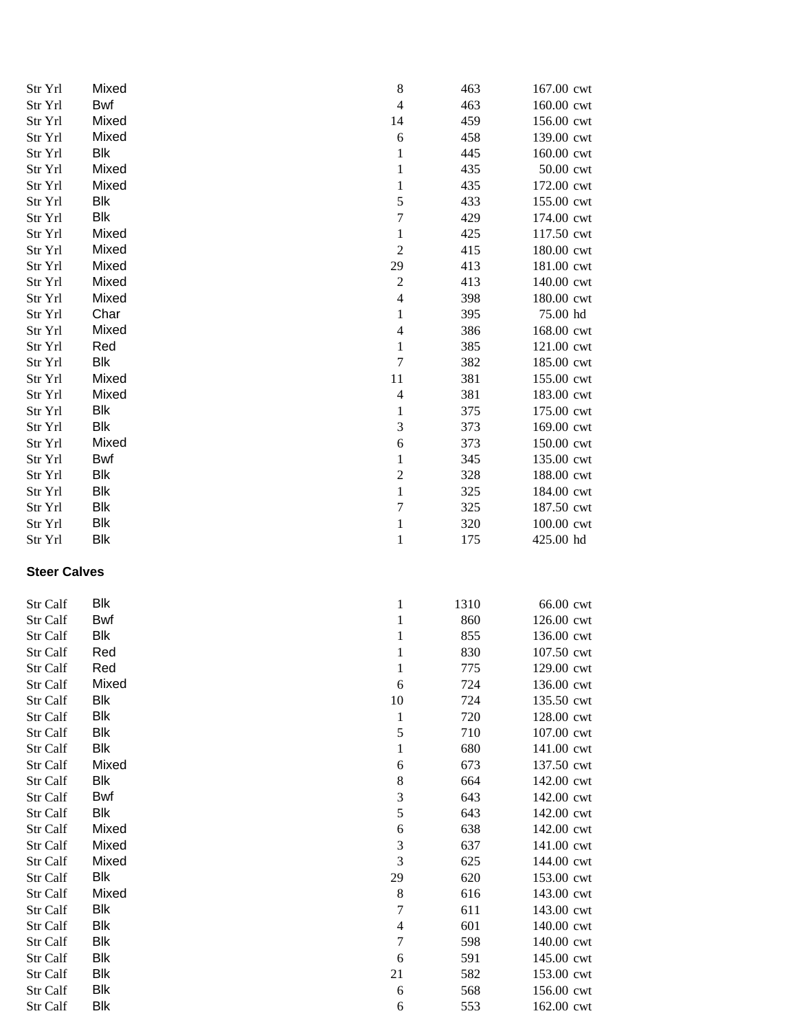| Str Yrl              | Mixed                    | $\,8\,$               | 463        | 167.00 cwt               |
|----------------------|--------------------------|-----------------------|------------|--------------------------|
| Str Yrl              | Bwf                      | $\overline{4}$        | 463        | 160.00 cwt               |
| Str Yrl              | Mixed                    | 14                    | 459        | 156.00 cwt               |
| Str Yrl              | Mixed                    | $\boldsymbol{6}$      | 458        | 139.00 cwt               |
| Str Yrl              | Blk                      | $\mathbf{1}$          | 445        | 160.00 cwt               |
| Str Yrl              | Mixed                    | $\mathbf{1}$          | 435        | 50.00 cwt                |
| Str Yrl              | Mixed                    | $\mathbf{1}$          | 435        | 172.00 cwt               |
| Str Yrl              | Blk                      | 5                     | 433        | 155.00 cwt               |
| Str Yrl              | Blk                      | $\boldsymbol{7}$      | 429        | 174.00 cwt               |
| Str Yrl              | Mixed                    | $\mathbf{1}$          | 425        | 117.50 cwt               |
| Str Yrl              | Mixed                    | $\sqrt{2}$            | 415        | 180.00 cwt               |
| Str Yrl              | Mixed                    | 29                    | 413        | 181.00 cwt               |
| Str Yrl              | Mixed                    | $\boldsymbol{2}$      | 413        | 140.00 cwt               |
| Str Yrl              | Mixed                    | $\overline{4}$        | 398        | 180.00 cwt               |
| Str Yrl              | Char                     | $\mathbf{1}$          | 395        | 75.00 hd                 |
| Str Yrl              | Mixed                    | $\overline{4}$        | 386        | 168.00 cwt               |
| Str Yrl              | Red                      | $\mathbf{1}$          | 385        | 121.00 cwt               |
| Str Yrl              | Blk                      | $\boldsymbol{7}$      | 382        | 185.00 cwt               |
| Str Yrl              | Mixed                    | 11                    | 381        | 155.00 cwt               |
| Str Yrl              | Mixed                    | $\overline{4}$        | 381        | 183.00 cwt               |
| Str Yrl              | <b>Blk</b>               | $\mathbf{1}$          | 375        | 175.00 cwt               |
| Str Yrl              | <b>Blk</b>               | $\mathfrak 3$         | 373        | 169.00 cwt               |
| Str Yrl              | Mixed                    | $\boldsymbol{6}$      | 373        | 150.00 cwt               |
| Str Yrl              | Bwf                      | 1                     | 345        | 135.00 cwt               |
| Str Yrl              | Blk                      | $\boldsymbol{2}$      | 328        | 188.00 cwt               |
| Str Yrl              | Blk                      | $\mathbf{1}$          | 325        | 184.00 cwt               |
| Str Yrl              | <b>Blk</b>               | $\boldsymbol{7}$      | 325        | 187.50 cwt               |
| Str Yrl              | Blk                      | $\mathbf{1}$          | 320        | 100.00 cwt               |
| Str Yrl              | <b>Blk</b>               | $\mathbf{1}$          | 175        | 425.00 hd                |
| <b>Steer Calves</b>  |                          |                       |            |                          |
| Str Calf             | Blk                      | 1                     | 1310       | 66.00 cwt                |
| Str Calf             | Bwf                      | $\mathbf{1}$          | 860        | 126.00 cwt               |
| Str Calf             | Blk                      | $\mathbf{1}$          | 855        | 136.00 cwt               |
|                      |                          |                       |            |                          |
| Str Calf             | Red                      | 1                     | 830        | 107.50 cwt               |
| <b>Str Calf</b>      | Red                      | 1                     | 775        | 129.00 cwt               |
| Str Calf             | Mixed                    | $\boldsymbol{6}$      | 724        | 136.00 cwt               |
| Str Calf             | Blk                      | 10                    | 724        | 135.50 cwt               |
| Str Calf             | <b>Blk</b>               | $\mathbf{1}$          | 720        | 128.00 cwt               |
| Str Calf             | Blk                      | 5                     | 710        | 107.00 cwt               |
| Str Calf             | <b>Blk</b>               | $\mathbf{1}$          | 680        | 141.00 cwt               |
| Str Calf             | Mixed                    | $\boldsymbol{6}$      | 673        | 137.50 cwt               |
| Str Calf             | <b>Blk</b>               | $\,8\,$               | 664        | 142.00 cwt               |
| Str Calf             | Bwf                      | $\mathfrak 3$         | 643        | 142.00 cwt               |
| Str Calf             | <b>Blk</b>               | $\sqrt{5}$            | 643        | 142.00 cwt               |
| Str Calf             | Mixed                    | $\boldsymbol{6}$      | 638        | 142.00 cwt               |
| Str Calf             | Mixed                    | $\mathfrak 3$         | 637        | 141.00 cwt               |
| Str Calf             | Mixed                    | $\mathfrak{Z}$        | 625        | 144.00 cwt               |
| Str Calf             | Blk                      | 29                    | 620        | 153.00 cwt               |
| Str Calf             | Mixed                    | $\,8\,$               | 616        | 143.00 cwt               |
| Str Calf             | Blk                      | $\tau$                | 611        | 143.00 cwt               |
| Str Calf             | <b>Blk</b>               | $\overline{4}$        | 601        | 140.00 cwt               |
| Str Calf             | <b>Blk</b>               | 7                     | 598        | 140.00 cwt               |
| Str Calf             | <b>Blk</b>               | 6                     | 591        | 145.00 cwt               |
| Str Calf             | Blk                      | 21                    | 582        | 153.00 cwt               |
| Str Calf<br>Str Calf | <b>Blk</b><br><b>Blk</b> | $\boldsymbol{6}$<br>6 | 568<br>553 | 156.00 cwt<br>162.00 cwt |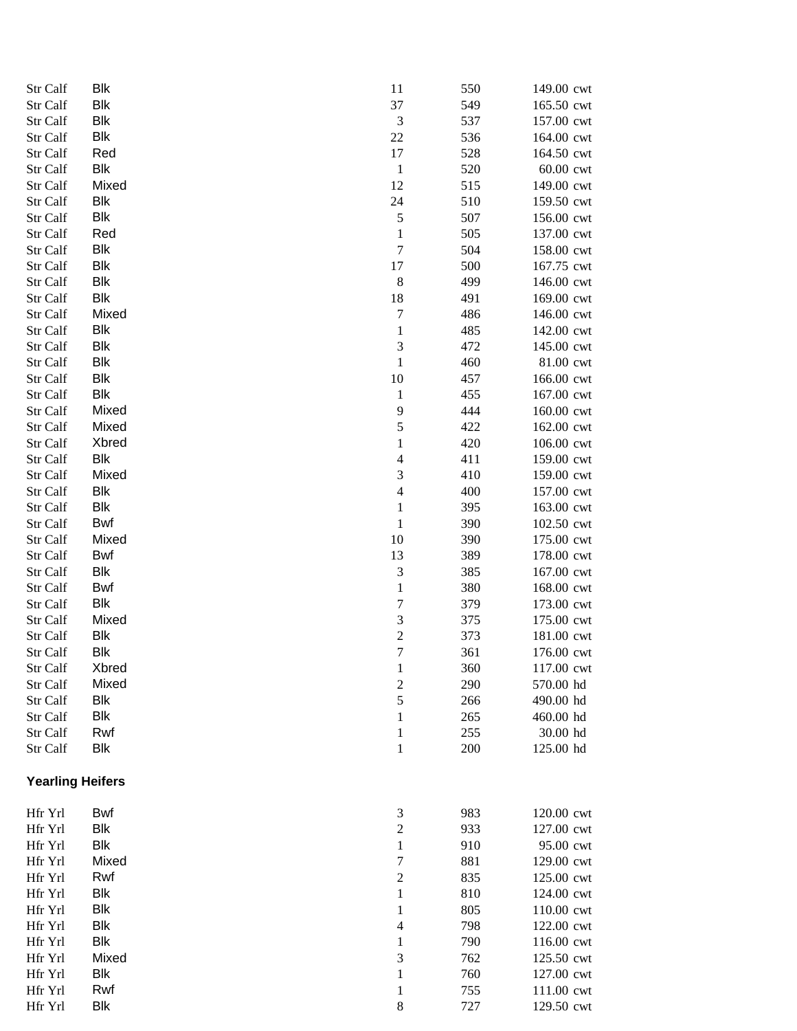| Str Calf                | Blk        | 11               | 550        | 149.00 cwt               |
|-------------------------|------------|------------------|------------|--------------------------|
| Str Calf                | Blk        | 37               | 549        | 165.50 cwt               |
| Str Calf                | <b>Blk</b> | 3                | 537        | 157.00 cwt               |
| Str Calf                | <b>Blk</b> | 22               | 536        | 164.00 cwt               |
| Str Calf                | Red        | 17               | 528        | 164.50 cwt               |
| Str Calf                | Blk        | $\mathbf{1}$     | 520        | 60.00 cwt                |
| Str Calf                | Mixed      | 12               | 515        | 149.00 cwt               |
| Str Calf                | Blk        | 24               | 510        | 159.50 cwt               |
| Str Calf                | Blk        | 5                | 507        | 156.00 cwt               |
| Str Calf                | Red        | 1                | 505        | 137.00 cwt               |
| Str Calf                | Blk        | $\boldsymbol{7}$ | 504        | 158.00 cwt               |
| Str Calf                | Blk        | 17               | 500        | 167.75 cwt               |
| Str Calf                | Blk        | $\,8\,$          | 499        | 146.00 cwt               |
| Str Calf                | Blk        | 18               | 491        | 169.00 cwt               |
| Str Calf                | Mixed      | 7                | 486        | 146.00 cwt               |
| Str Calf                | <b>Blk</b> | $\mathbf{1}$     | 485        | 142.00 cwt               |
| Str Calf                | <b>Blk</b> | 3                | 472        | 145.00 cwt               |
| Str Calf                | <b>Blk</b> | $\mathbf{1}$     | 460        | 81.00 cwt                |
| Str Calf                | <b>Blk</b> | 10               | 457        | 166.00 cwt               |
| Str Calf                | <b>Blk</b> | 1                | 455        | 167.00 cwt               |
| Str Calf                | Mixed      | 9                | 444        | 160.00 cwt               |
| Str Calf                | Mixed      | 5                | 422        | 162.00 cwt               |
| Str Calf                | Xbred      | 1                | 420        | 106.00 cwt               |
| Str Calf                | Blk        | 4                | 411        | 159.00 cwt               |
| Str Calf                | Mixed      | 3                | 410        | 159.00 cwt               |
| Str Calf                | Blk        | 4                | 400        | 157.00 cwt               |
| Str Calf                | Blk        | 1                | 395        | 163.00 cwt               |
| Str Calf                | <b>Bwf</b> | $\mathbf{1}$     | 390        | 102.50 cwt               |
| Str Calf                | Mixed      | 10               | 390        | 175.00 cwt               |
| Str Calf                | Bwf        | 13               | 389        | 178.00 cwt               |
| Str Calf                | Blk        | $\mathfrak 3$    | 385        | 167.00 cwt               |
| Str Calf                | Bwf        | $\mathbf{1}$     | 380        | 168.00 cwt               |
| Str Calf                | <b>Blk</b> | 7                | 379        | 173.00 cwt               |
| Str Calf                | Mixed      | 3                | 375        | 175.00 cwt               |
| Str Calf                | Blk        | $\overline{c}$   | 373        | 181.00 cwt               |
| Str Calf                | Blk        | $\overline{7}$   | 361        | 176.00 cwt               |
| Str Calf                | Xbred      | 1                | 360        | 117.00 cwt               |
| Str Calf                | Mixed      | $\overline{c}$   | 290        | 570.00 hd                |
| Str Calf                | Blk        | 5                | 266        | 490.00 hd                |
| Str Calf                | <b>Blk</b> | 1                | 265        | 460.00 hd                |
| Str Calf                | Rwf        | 1                | 255        | 30.00 hd                 |
| Str Calf                | Blk        | 1                | 200        | 125.00 hd                |
| <b>Yearling Heifers</b> |            |                  |            |                          |
|                         |            |                  |            |                          |
| Hfr Yrl                 | Bwf<br>Blk | 3                | 983        | 120.00 cwt               |
| Hfr Yrl                 |            | $\overline{c}$   | 933        | 127.00 cwt               |
| Hfr Yrl                 | Blk        | 1                | 910        | 95.00 cwt                |
| Hfr Yrl                 | Mixed      | 7                | 881        | 129.00 cwt               |
| Hfr Yrl                 | Rwf<br>Blk | $\boldsymbol{2}$ | 835        | 125.00 cwt               |
| Hfr Yrl                 | Blk        | 1                | 810        | 124.00 cwt               |
| Hfr Yrl                 | <b>Blk</b> | 1                | 805<br>798 | 110.00 cwt               |
| Hfr Yrl                 | <b>Blk</b> | 4                | 790        | 122.00 cwt               |
| Hfr Yrl<br>Hfr Yrl      | Mixed      | 1<br>3           | 762        | 116.00 cwt<br>125.50 cwt |
| Hfr Yrl                 | Blk        | 1                | 760        | 127.00 cwt               |
| Hfr Yrl                 | Rwf        | 1                | 755        | 111.00 cwt               |
| Hfr Yrl                 | Blk        | 8                | 727        | 129.50 cwt               |
|                         |            |                  |            |                          |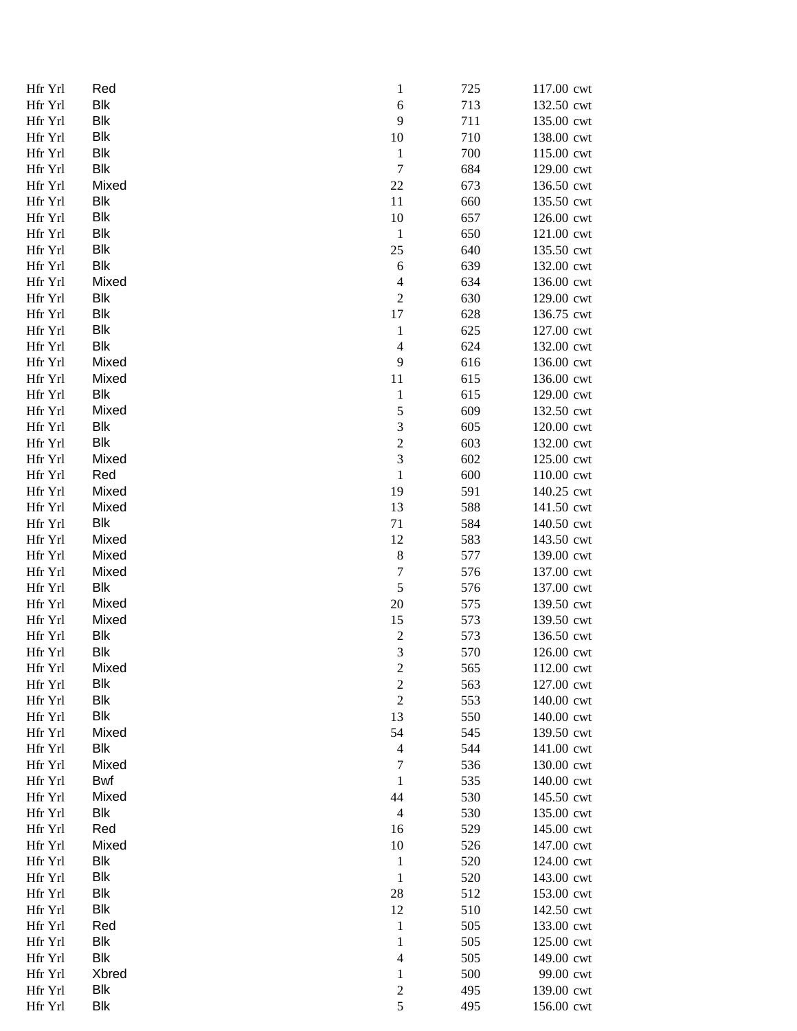| Hfr Yrl | Red        | $\mathbf{1}$             | 725 | 117.00 cwt |
|---------|------------|--------------------------|-----|------------|
| Hfr Yrl | Blk        | $\boldsymbol{6}$         | 713 | 132.50 cwt |
| Hfr Yrl | <b>Blk</b> | 9                        | 711 | 135.00 cwt |
| Hfr Yrl | <b>Blk</b> | 10                       | 710 | 138.00 cwt |
| Hfr Yrl | Blk        | $\mathbf{1}$             | 700 | 115.00 cwt |
| Hfr Yrl | Blk        | $\boldsymbol{7}$         | 684 | 129.00 cwt |
| Hfr Yrl | Mixed      | 22                       | 673 | 136.50 cwt |
| Hfr Yrl | Blk        | 11                       | 660 | 135.50 cwt |
| Hfr Yrl | Blk        | 10                       | 657 | 126.00 cwt |
| Hfr Yrl | Blk        | $\mathbf{1}$             | 650 | 121.00 cwt |
| Hfr Yrl | Blk        | 25                       | 640 | 135.50 cwt |
| Hfr Yrl | Blk        | 6                        | 639 | 132.00 cwt |
| Hfr Yrl | Mixed      | $\overline{\mathcal{A}}$ | 634 | 136.00 cwt |
| Hfr Yrl | Blk        | $\sqrt{2}$               | 630 | 129.00 cwt |
| Hfr Yrl | Blk        | 17                       | 628 | 136.75 cwt |
| Hfr Yrl | Blk        | $\mathbf{1}$             | 625 | 127.00 cwt |
| Hfr Yrl | <b>Blk</b> | $\overline{4}$           | 624 | 132.00 cwt |
| Hfr Yrl | Mixed      | 9                        | 616 | 136.00 cwt |
| Hfr Yrl | Mixed      | 11                       | 615 | 136.00 cwt |
| Hfr Yrl | Blk        | $\mathbf{1}$             | 615 | 129.00 cwt |
| Hfr Yrl | Mixed      | 5                        | 609 | 132.50 cwt |
| Hfr Yrl | <b>Blk</b> | $\mathfrak 3$            | 605 | 120.00 cwt |
| Hfr Yrl | Blk        | $\sqrt{2}$               | 603 | 132.00 cwt |
| Hfr Yrl | Mixed      | $\mathfrak 3$            | 602 | 125.00 cwt |
| Hfr Yrl | Red        | $\mathbf{1}$             | 600 | 110.00 cwt |
| Hfr Yrl | Mixed      | 19                       | 591 | 140.25 cwt |
| Hfr Yrl | Mixed      | 13                       | 588 | 141.50 cwt |
| Hfr Yrl | Blk        | 71                       | 584 | 140.50 cwt |
| Hfr Yrl | Mixed      | 12                       | 583 | 143.50 cwt |
| Hfr Yrl | Mixed      | $\,8$                    | 577 | 139.00 cwt |
| Hfr Yrl | Mixed      | $\boldsymbol{7}$         | 576 | 137.00 cwt |
| Hfr Yrl | Blk        | $\mathfrak s$            | 576 | 137.00 cwt |
| Hfr Yrl | Mixed      | $20\,$                   | 575 | 139.50 cwt |
| Hfr Yrl | Mixed      | 15                       | 573 | 139.50 cwt |
| Hfr Yrl | Blk        | $\boldsymbol{2}$         | 573 | 136.50 cwt |
| Hfr Yrl | <b>Blk</b> | $\mathfrak{Z}$           | 570 | 126.00 cwt |
| Hfr Yrl | Mixed      | 2                        | 565 | 112.00 cwt |
| Hfr Yrl | <b>Blk</b> | $\boldsymbol{2}$         | 563 | 127.00 cwt |
| Hfr Yrl | <b>Blk</b> | $\sqrt{2}$               | 553 | 140.00 cwt |
| Hfr Yrl | <b>Blk</b> | 13                       | 550 | 140.00 cwt |
| Hfr Yrl | Mixed      | 54                       | 545 | 139.50 cwt |
| Hfr Yrl | <b>Blk</b> | $\overline{4}$           | 544 | 141.00 cwt |
| Hfr Yrl | Mixed      | $\tau$                   | 536 | 130.00 cwt |
| Hfr Yrl | <b>Bwf</b> | 1                        | 535 | 140.00 cwt |
| Hfr Yrl | Mixed      | 44                       | 530 | 145.50 cwt |
| Hfr Yrl | <b>Blk</b> | $\overline{4}$           | 530 | 135.00 cwt |
| Hfr Yrl | Red        | 16                       | 529 | 145.00 cwt |
| Hfr Yrl | Mixed      | 10                       | 526 | 147.00 cwt |
| Hfr Yrl | <b>Blk</b> | $\mathbf{1}$             | 520 | 124.00 cwt |
| Hfr Yrl | <b>Blk</b> | $\mathbf{1}$             | 520 | 143.00 cwt |
| Hfr Yrl | <b>Blk</b> | 28                       | 512 | 153.00 cwt |
| Hfr Yrl | <b>Blk</b> | 12                       | 510 | 142.50 cwt |
| Hfr Yrl | Red        | $\mathbf{1}$             | 505 | 133.00 cwt |
| Hfr Yrl | <b>Blk</b> | $\mathbf{1}$             | 505 | 125.00 cwt |
| Hfr Yrl | <b>Blk</b> | $\overline{\mathcal{A}}$ | 505 | 149.00 cwt |
| Hfr Yrl | Xbred      | $\mathbf{1}$             | 500 | 99.00 cwt  |
| Hfr Yrl | Blk        | $\sqrt{2}$               | 495 | 139.00 cwt |
| Hfr Yrl | Blk        | 5                        | 495 | 156.00 cwt |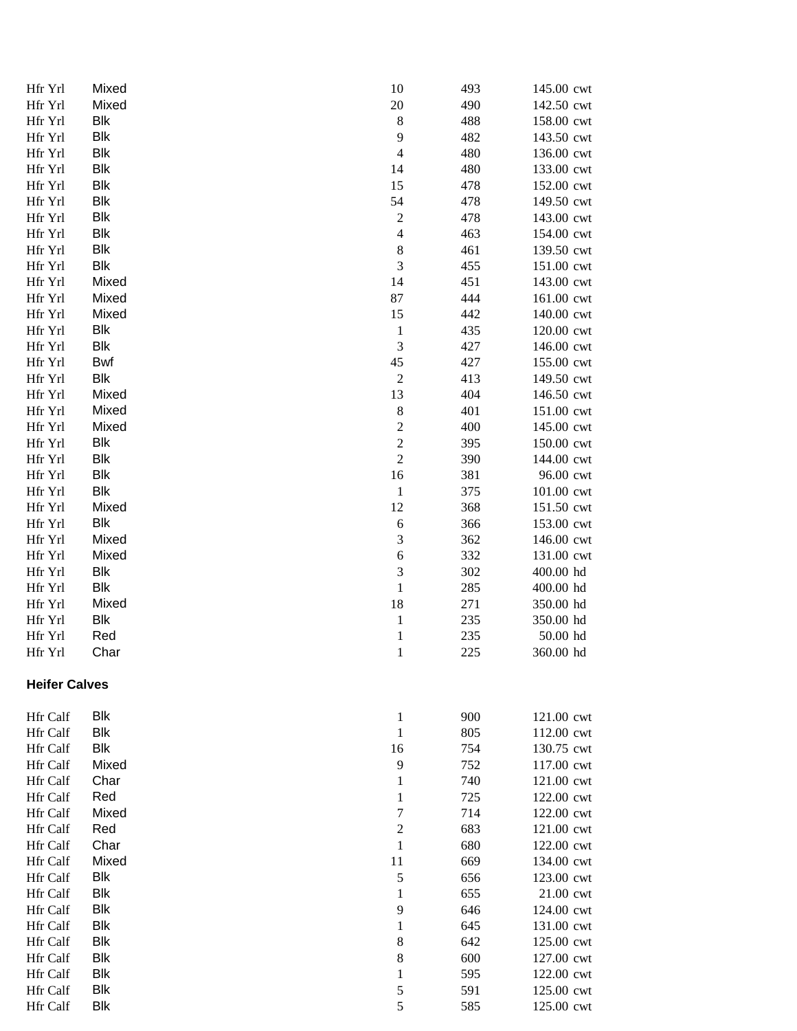| Hfr Yrl              | Mixed      | 10               | 493 | 145.00 cwt |
|----------------------|------------|------------------|-----|------------|
| Hfr Yrl              | Mixed      | 20               | 490 | 142.50 cwt |
| Hfr Yrl              | Blk        | $\,8\,$          | 488 | 158.00 cwt |
| Hfr Yrl              | Blk        | 9                | 482 | 143.50 cwt |
| Hfr Yrl              | Blk        | $\overline{4}$   | 480 | 136.00 cwt |
| Hfr Yrl              | Blk        | 14               | 480 | 133.00 cwt |
| Hfr Yrl              | Blk        | 15               | 478 | 152.00 cwt |
| Hfr Yrl              | Blk        | 54               | 478 | 149.50 cwt |
| Hfr Yrl              | Blk        | $\overline{c}$   | 478 | 143.00 cwt |
| Hfr Yrl              | Blk        | $\overline{4}$   | 463 | 154.00 cwt |
| Hfr Yrl              | Blk        | $\,8\,$          | 461 | 139.50 cwt |
| Hfr Yrl              | Blk        | 3                | 455 | 151.00 cwt |
| Hfr Yrl              | Mixed      | 14               | 451 | 143.00 cwt |
| Hfr Yrl              | Mixed      | 87               | 444 | 161.00 cwt |
| Hfr Yrl              | Mixed      | 15               | 442 | 140.00 cwt |
| Hfr Yrl              | Blk        | $\mathbf{1}$     | 435 | 120.00 cwt |
| Hfr Yrl              | Blk        | 3                | 427 | 146.00 cwt |
| Hfr Yrl              | Bwf        | 45               | 427 | 155.00 cwt |
| Hfr Yrl              | Blk        | $\boldsymbol{2}$ | 413 | 149.50 cwt |
| Hfr Yrl              | Mixed      | 13               | 404 | 146.50 cwt |
| Hfr Yrl              | Mixed      | $\,$ 8 $\,$      | 401 | 151.00 cwt |
| Hfr Yrl              | Mixed      | $\overline{c}$   | 400 | 145.00 cwt |
| Hfr Yrl              | Blk        | $\overline{c}$   | 395 | 150.00 cwt |
| Hfr Yrl              | Blk        | $\sqrt{2}$       | 390 | 144.00 cwt |
| Hfr Yrl              | Blk        | 16               | 381 | 96.00 cwt  |
| Hfr Yrl              | Blk        | $\mathbf{1}$     | 375 | 101.00 cwt |
| Hfr Yrl              | Mixed      | 12               | 368 | 151.50 cwt |
| Hfr Yrl              | Blk        | $\boldsymbol{6}$ | 366 | 153.00 cwt |
| Hfr Yrl              | Mixed      | $\sqrt{3}$       | 362 | 146.00 cwt |
| Hfr Yrl              | Mixed      | 6                | 332 | 131.00 cwt |
| Hfr Yrl              | Blk        | $\mathfrak{Z}$   | 302 | 400.00 hd  |
| Hfr Yrl              | <b>Blk</b> | $\,1$            | 285 | 400.00 hd  |
| Hfr Yrl              | Mixed      | 18               | 271 | 350.00 hd  |
| Hfr Yrl              | Blk        | $\mathbf{1}$     | 235 | 350.00 hd  |
| Hfr Yrl              | Red        | $\mathbf{1}$     | 235 | 50.00 hd   |
| Hfr Yrl              | Char       | 1                | 225 | 360.00 hd  |
| <b>Heifer Calves</b> |            |                  |     |            |
| <b>Hfr</b> Calf      | Blk        | $\mathbf{1}$     | 900 | 121.00 cwt |
| <b>Hfr Calf</b>      | <b>Blk</b> | $\mathbf{1}$     | 805 | 112.00 cwt |
| <b>Hfr Calf</b>      | <b>Blk</b> | 16               | 754 | 130.75 cwt |
| <b>Hfr Calf</b>      | Mixed      | 9                | 752 | 117.00 cwt |
| <b>Hfr Calf</b>      | Char       | $\mathbf{1}$     | 740 | 121.00 cwt |
| Hfr Calf             | Red        | 1                | 725 | 122.00 cwt |
| Hfr Calf             | Mixed      | $\tau$           | 714 | 122.00 cwt |
| Hfr Calf             | Red        | $\overline{c}$   | 683 | 121.00 cwt |
| <b>Hfr</b> Calf      | Char       | $\mathbf{1}$     | 680 | 122.00 cwt |
| Hfr Calf             | Mixed      | 11               | 669 | 134.00 cwt |
| <b>Hfr Calf</b>      | <b>Blk</b> | 5                | 656 | 123.00 cwt |
| <b>Hfr Calf</b>      | <b>Blk</b> | 1                | 655 | 21.00 cwt  |
| Hfr Calf             | <b>Blk</b> | 9                | 646 | 124.00 cwt |
| Hfr Calf             | <b>Blk</b> | 1                | 645 | 131.00 cwt |
| Hfr Calf             | <b>Blk</b> | 8                | 642 | 125.00 cwt |
| <b>Hfr Calf</b>      | Blk        | $\,$ 8 $\,$      | 600 | 127.00 cwt |
| <b>Hfr</b> Calf      | Blk        | 1                | 595 | 122.00 cwt |
| <b>Hfr</b> Calf      | Blk        | 5                | 591 | 125.00 cwt |
| <b>Hfr</b> Calf      | Blk        | 5                | 585 | 125.00 cwt |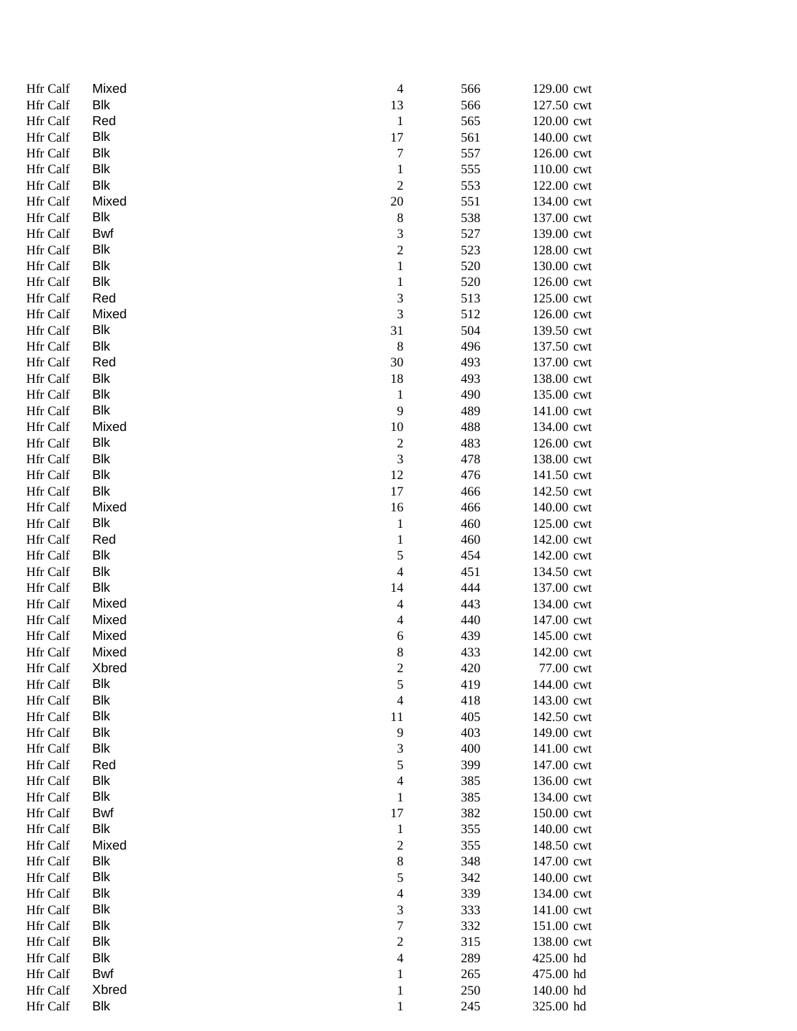| <b>Hfr Calf</b> | Mixed      | $\overline{4}$              | 566 | 129.00 cwt |
|-----------------|------------|-----------------------------|-----|------------|
| Hfr Calf        | Blk        | 13                          | 566 | 127.50 cwt |
| Hfr Calf        | Red        | $\mathbf{1}$                | 565 | 120.00 cwt |
| Hfr Calf        | <b>Blk</b> | 17                          | 561 | 140.00 cwt |
| Hfr Calf        | <b>Blk</b> | 7                           | 557 | 126.00 cwt |
| Hfr Calf        | <b>Blk</b> | $\mathbf{1}$                | 555 | 110.00 cwt |
| Hfr Calf        | <b>Blk</b> | $\mathfrak 2$               | 553 | 122.00 cwt |
| Hfr Calf        | Mixed      | 20                          | 551 | 134.00 cwt |
| Hfr Calf        | Blk        | $\,$ 8 $\,$                 | 538 | 137.00 cwt |
| Hfr Calf        | Bwf        | $\ensuremath{\mathfrak{Z}}$ | 527 | 139.00 cwt |
| Hfr Calf        | Blk        | $\boldsymbol{2}$            | 523 | 128.00 cwt |
| Hfr Calf        | Blk        | $\mathbf{1}$                | 520 | 130.00 cwt |
| Hfr Calf        | <b>Blk</b> | $\mathbf{1}$                | 520 | 126.00 cwt |
| Hfr Calf        | Red        | $\sqrt{3}$                  | 513 | 125.00 cwt |
| Hfr Calf        | Mixed      | $\mathfrak 3$               | 512 | 126.00 cwt |
| Hfr Calf        | Blk        | 31                          | 504 | 139.50 cwt |
| Hfr Calf        | Blk        | $\,8\,$                     | 496 | 137.50 cwt |
| Hfr Calf        | Red        | 30                          | 493 | 137.00 cwt |
| Hfr Calf        | Blk        | 18                          | 493 | 138.00 cwt |
| Hfr Calf        | <b>Blk</b> | $\mathbf{1}$                | 490 | 135.00 cwt |
| Hfr Calf        | <b>Blk</b> | 9                           | 489 | 141.00 cwt |
| Hfr Calf        | Mixed      | 10                          | 488 | 134.00 cwt |
| Hfr Calf        | <b>Blk</b> | $\sqrt{2}$                  | 483 | 126.00 cwt |
| Hfr Calf        | <b>Blk</b> | $\ensuremath{\mathfrak{Z}}$ | 478 | 138.00 cwt |
| Hfr Calf        | <b>Blk</b> | 12                          | 476 | 141.50 cwt |
| Hfr Calf        | <b>Blk</b> | 17                          | 466 | 142.50 cwt |
| Hfr Calf        | Mixed      | 16                          | 466 | 140.00 cwt |
| Hfr Calf        | <b>Blk</b> | $\mathbf{1}$                | 460 | 125.00 cwt |
| Hfr Calf        | Red        | $\mathbf{1}$                | 460 | 142.00 cwt |
| Hfr Calf        | <b>Blk</b> | $\sqrt{5}$                  | 454 | 142.00 cwt |
| Hfr Calf        | <b>Blk</b> | $\overline{\mathcal{A}}$    | 451 | 134.50 cwt |
| Hfr Calf        | <b>Blk</b> | 14                          | 444 | 137.00 cwt |
| Hfr Calf        | Mixed      | $\overline{\mathcal{A}}$    | 443 | 134.00 cwt |
| Hfr Calf        | Mixed      | 4                           | 440 | 147.00 cwt |
| Hfr Calf        | Mixed      | 6                           | 439 | 145.00 cwt |
| Hfr Calf        | Mixed      | $\,8\,$                     | 433 | 142.00 cwt |
| Hfr Calf        | Xbred      | $\overline{\mathbf{c}}$     | 420 | 77.00 cwt  |
| <b>Hfr Calf</b> | <b>Blk</b> | 5                           | 419 | 144.00 cwt |
| Hfr Calf        | <b>Blk</b> | $\overline{4}$              | 418 | 143.00 cwt |
| Hfr Calf        | <b>Blk</b> | 11                          | 405 | 142.50 cwt |
| Hfr Calf        | <b>Blk</b> | 9                           | 403 | 149.00 cwt |
| Hfr Calf        | <b>Blk</b> | 3                           | 400 | 141.00 cwt |
| Hfr Calf        | Red        | 5                           | 399 | 147.00 cwt |
| Hfr Calf        | <b>Blk</b> | 4                           | 385 | 136.00 cwt |
| Hfr Calf        | <b>Blk</b> | $\mathbf{1}$                | 385 | 134.00 cwt |
| Hfr Calf        | Bwf        | 17                          | 382 | 150.00 cwt |
| Hfr Calf        | Blk        | $\mathbf{1}$                | 355 | 140.00 cwt |
| Hfr Calf        | Mixed      | $\sqrt{2}$                  | 355 | 148.50 cwt |
| Hfr Calf        | <b>Blk</b> | $\,8\,$                     | 348 | 147.00 cwt |
| Hfr Calf        | <b>Blk</b> | $\sqrt{5}$                  | 342 | 140.00 cwt |
| Hfr Calf        | <b>Blk</b> | $\overline{\mathcal{L}}$    | 339 | 134.00 cwt |
| Hfr Calf        | <b>Blk</b> | $\mathfrak 3$               | 333 | 141.00 cwt |
| Hfr Calf        | <b>Blk</b> | $\sqrt{ }$                  | 332 | 151.00 cwt |
| Hfr Calf        | <b>Blk</b> | $\overline{2}$              | 315 | 138.00 cwt |
| Hfr Calf        | <b>Blk</b> | $\overline{\mathcal{A}}$    | 289 | 425.00 hd  |
| Hfr Calf        | Bwf        | $\mathbf{1}$                | 265 | 475.00 hd  |
| Hfr Calf        | Xbred      | $\mathbf{1}$                | 250 | 140.00 hd  |
| Hfr Calf        | Blk        | $\mathbf{1}$                | 245 | 325.00 hd  |
|                 |            |                             |     |            |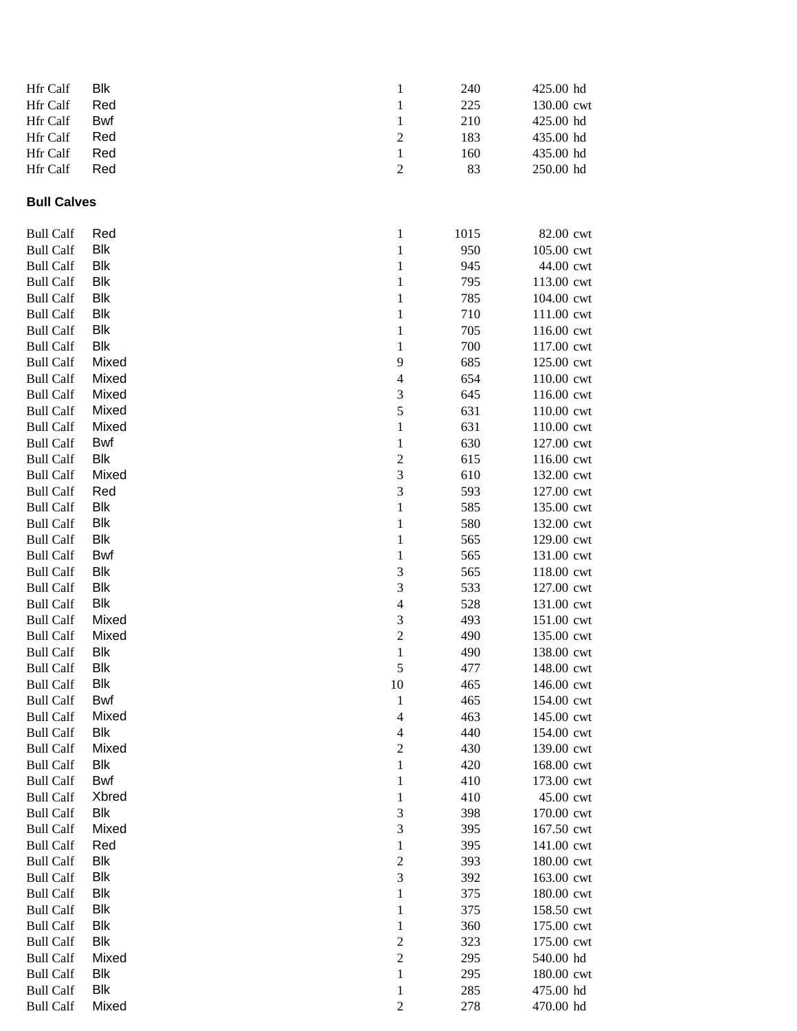| Hfr Calf                             | <b>Blk</b>               | 1                             | 240        | 425.00 hd                |
|--------------------------------------|--------------------------|-------------------------------|------------|--------------------------|
| Hfr Calf                             | Red                      | $\mathbf{1}$                  | 225        | 130.00 cwt               |
| Hfr Calf                             | Bwf                      | $\mathbf{1}$                  | 210        | 425.00 hd                |
| Hfr Calf                             | Red                      | $\overline{c}$                | 183        | 435.00 hd                |
| Hfr Calf                             | Red                      | $\mathbf{1}$                  | 160        | 435.00 hd                |
| Hfr Calf                             | Red                      | $\overline{c}$                | 83         | 250.00 hd                |
| <b>Bull Calves</b>                   |                          |                               |            |                          |
| <b>Bull Calf</b>                     | Red                      | $\mathbf{1}$                  | 1015       | 82.00 cwt                |
| <b>Bull Calf</b>                     | <b>Blk</b>               | $\mathbf 1$                   | 950        | 105.00 cwt               |
| <b>Bull Calf</b>                     | <b>Blk</b>               | $\mathbf{1}$                  | 945        | 44.00 cwt                |
| <b>Bull Calf</b>                     | <b>Blk</b>               | $\mathbf 1$                   | 795        | 113.00 cwt               |
| <b>Bull Calf</b>                     | <b>Blk</b>               | $\mathbf{1}$                  | 785        | 104.00 cwt               |
| <b>Bull Calf</b>                     | <b>Blk</b>               | $\mathbf{1}$                  | 710        | 111.00 cwt               |
| <b>Bull Calf</b>                     | <b>Blk</b>               | $\mathbf{1}$                  | 705        | 116.00 cwt               |
| <b>Bull Calf</b>                     | <b>Blk</b>               | 1                             | 700        | 117.00 cwt               |
| <b>Bull Calf</b>                     | Mixed                    | 9                             | 685        | 125.00 cwt               |
| <b>Bull Calf</b>                     | Mixed                    | 4                             | 654        | 110.00 cwt               |
| <b>Bull Calf</b>                     | Mixed                    | 3                             | 645        | 116.00 cwt               |
| <b>Bull Calf</b>                     | Mixed                    | 5                             | 631        | 110.00 cwt               |
| <b>Bull Calf</b>                     | Mixed                    | $\mathbf{1}$                  | 631        | 110.00 cwt               |
| <b>Bull Calf</b>                     | Bwf                      | $\mathbf{1}$                  | 630        | 127.00 cwt               |
| <b>Bull Calf</b>                     | Blk                      | $\overline{c}$                | 615        | 116.00 cwt               |
| <b>Bull Calf</b>                     | Mixed                    | 3                             | 610        | 132.00 cwt               |
| <b>Bull Calf</b>                     | Red                      | 3                             | 593        | 127.00 cwt               |
| <b>Bull Calf</b>                     | <b>Blk</b>               | $\mathbf{1}$                  | 585        | 135.00 cwt               |
| <b>Bull Calf</b>                     | <b>Blk</b>               | $\mathbf{1}$                  | 580        | 132.00 cwt               |
| <b>Bull Calf</b>                     | <b>Blk</b>               | $\mathbf{1}$                  | 565        | 129.00 cwt               |
| <b>Bull Calf</b>                     | Bwf                      | $\mathbf{1}$                  | 565        | 131.00 cwt               |
| <b>Bull Calf</b>                     | <b>Blk</b>               | 3                             | 565        | 118.00 cwt               |
| <b>Bull Calf</b>                     | <b>Blk</b><br><b>Blk</b> | 3                             | 533        | 127.00 cwt               |
| <b>Bull Calf</b><br><b>Bull Calf</b> | Mixed                    | $\overline{\mathcal{A}}$<br>3 | 528<br>493 | 131.00 cwt<br>151.00 cwt |
| <b>Bull Calf</b>                     | Mixed                    | $\sqrt{2}$                    | 490        | 135.00 cwt               |
| <b>Bull Calf</b>                     | <b>Blk</b>               | 1                             | 490        | 138.00 cwt               |
| <b>Bull Calf</b>                     | <b>Blk</b>               | 5                             | 477        | 148.00 cwt               |
| <b>Bull Calf</b>                     | <b>Blk</b>               | 10                            | 465        | 146.00 cwt               |
| <b>Bull Calf</b>                     | <b>Bwf</b>               | $\mathbf{1}$                  | 465        | 154.00 cwt               |
| <b>Bull Calf</b>                     | Mixed                    | $\overline{\mathcal{L}}$      | 463        | 145.00 cwt               |
| <b>Bull Calf</b>                     | <b>Blk</b>               | 4                             | 440        | 154.00 cwt               |
| <b>Bull Calf</b>                     | Mixed                    | $\overline{c}$                | 430        | 139.00 cwt               |
| <b>Bull Calf</b>                     | <b>Blk</b>               | $\mathbf{1}$                  | 420        | 168.00 cwt               |
| <b>Bull Calf</b>                     | <b>Bwf</b>               | $\mathbf{1}$                  | 410        | 173.00 cwt               |
| <b>Bull Calf</b>                     | Xbred                    | $\mathbf{1}$                  | 410        | 45.00 cwt                |
| <b>Bull Calf</b>                     | <b>Blk</b>               | 3                             | 398        | 170.00 cwt               |
| <b>Bull Calf</b>                     | Mixed                    | 3                             | 395        | 167.50 cwt               |
| <b>Bull Calf</b>                     | Red                      | $\mathbf{1}$                  | 395        | 141.00 cwt               |
| <b>Bull Calf</b>                     | <b>Blk</b>               | $\overline{c}$                | 393        | 180.00 cwt               |
| <b>Bull Calf</b>                     | <b>Blk</b>               | 3                             | 392        | 163.00 cwt               |
| <b>Bull Calf</b>                     | Blk                      | $\mathbf{1}$                  | 375        | 180.00 cwt               |
| <b>Bull Calf</b>                     | Blk                      | 1                             | 375        | 158.50 cwt               |
| <b>Bull Calf</b>                     | Blk                      | 1                             | 360        | 175.00 cwt               |
| <b>Bull Calf</b>                     | Blk                      | $\overline{c}$                | 323        | 175.00 cwt               |
| <b>Bull Calf</b>                     | Mixed                    | $\overline{c}$                | 295        | 540.00 hd                |
| <b>Bull Calf</b>                     | Blk                      | $\mathbf 1$                   | 295        | 180.00 cwt               |
| <b>Bull Calf</b>                     | Blk                      | $\mathbf{1}$                  | 285        | 475.00 hd                |
| <b>Bull Calf</b>                     | Mixed                    | $\overline{c}$                | 278        | 470.00 hd                |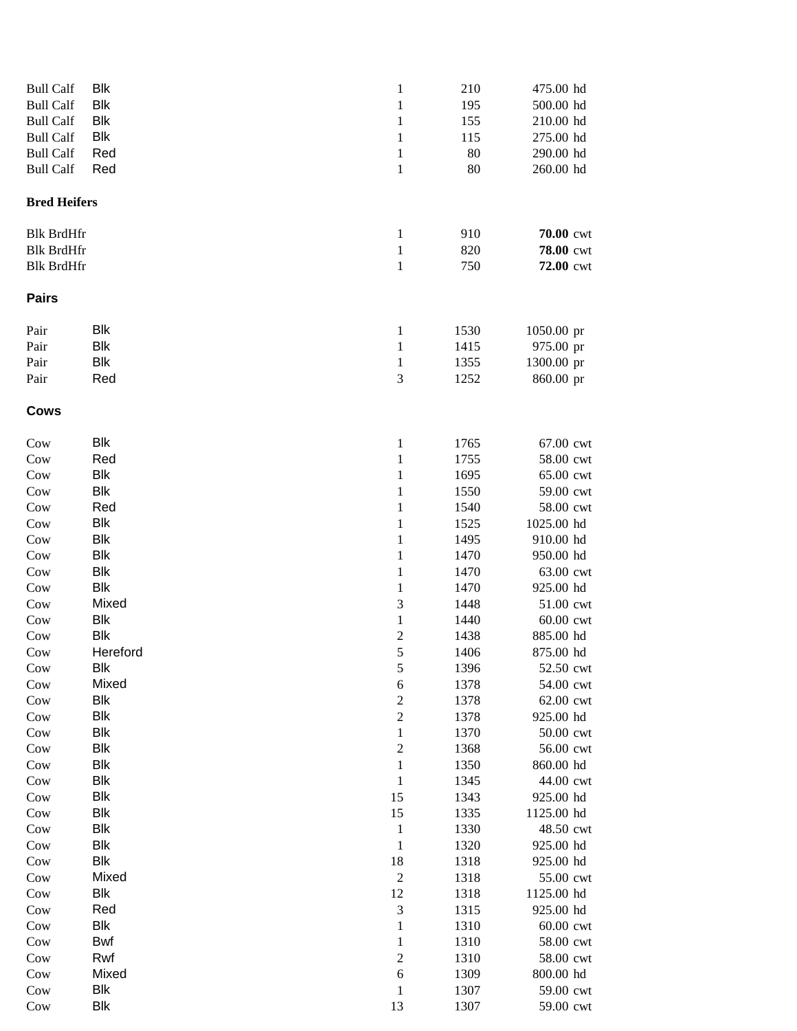| <b>Bull Calf</b>    | Blk        | $\mathbf{1}$     | 210  | 475.00 hd  |
|---------------------|------------|------------------|------|------------|
| <b>Bull Calf</b>    | Blk        | $\mathbf{1}$     | 195  | 500.00 hd  |
| <b>Bull Calf</b>    | <b>Blk</b> | $\mathbf{1}$     | 155  | 210.00 hd  |
| <b>Bull Calf</b>    | <b>Blk</b> | 1                | 115  | 275.00 hd  |
| <b>Bull Calf</b>    | Red        | 1                | 80   | 290.00 hd  |
| <b>Bull Calf</b>    | Red        | $\mathbf{1}$     | 80   | 260.00 hd  |
|                     |            |                  |      |            |
| <b>Bred Heifers</b> |            |                  |      |            |
| <b>Blk BrdHfr</b>   |            | $\mathbf{1}$     | 910  | 70.00 cwt  |
| <b>Blk BrdHfr</b>   |            | $\mathbf{1}$     | 820  | 78.00 cwt  |
| <b>Blk BrdHfr</b>   |            | $\mathbf{1}$     | 750  | 72.00 cwt  |
| <b>Pairs</b>        |            |                  |      |            |
| Pair                | Blk        | 1                | 1530 | 1050.00 pr |
| Pair                | Blk        | $\mathbf{1}$     | 1415 | 975.00 pr  |
| Pair                | Blk        | $\mathbf{1}$     | 1355 | 1300.00 pr |
| Pair                | Red        | 3                | 1252 | 860.00 pr  |
| <b>Cows</b>         |            |                  |      |            |
| Cow                 | <b>Blk</b> | $\mathbf{1}$     | 1765 | 67.00 cwt  |
| Cow                 | Red        | $\mathbf{1}$     | 1755 | 58.00 cwt  |
| Cow                 | <b>Blk</b> | $\mathbf{1}$     | 1695 | 65.00 cwt  |
| Cow                 | Blk        | $\mathbf{1}$     | 1550 | 59.00 cwt  |
| Cow                 | Red        | $\mathbf{1}$     | 1540 | 58.00 cwt  |
| Cow                 | <b>Blk</b> | $\mathbf{1}$     | 1525 | 1025.00 hd |
| Cow                 | <b>Blk</b> | $\mathbf{1}$     | 1495 | 910.00 hd  |
| Cow                 | <b>Blk</b> | 1                | 1470 | 950.00 hd  |
| Cow                 | <b>Blk</b> | $\mathbf{1}$     | 1470 | 63.00 cwt  |
| Cow                 | <b>Blk</b> | $\mathbf{1}$     | 1470 | 925.00 hd  |
| Cow                 | Mixed      | $\mathfrak 3$    | 1448 | 51.00 cwt  |
| Cow                 | Blk        | $\mathbf{1}$     | 1440 | 60.00 cwt  |
| Cow                 | <b>Blk</b> | $\sqrt{2}$       | 1438 | 885.00 hd  |
| Cow                 | Hereford   | 5                | 1406 | 875.00 hd  |
| Cow                 | <b>Blk</b> | $\sqrt{5}$       | 1396 | 52.50 cwt  |
| Cow                 | Mixed      | 6                | 1378 | 54.00 cwt  |
| Cow                 | <b>Blk</b> | $\overline{c}$   | 1378 | 62.00 cwt  |
| Cow                 | <b>Blk</b> | $\sqrt{2}$       | 1378 | 925.00 hd  |
| Cow                 | Blk        | $\mathbf{1}$     | 1370 | 50.00 cwt  |
| Cow                 | <b>Blk</b> | $\sqrt{2}$       | 1368 | 56.00 cwt  |
| Cow                 | <b>Blk</b> | $\,1\,$          | 1350 | 860.00 hd  |
| Cow                 | <b>Blk</b> | $\,1$            | 1345 | 44.00 cwt  |
| Cow                 | <b>Blk</b> | 15               | 1343 | 925.00 hd  |
| Cow                 | <b>Blk</b> | 15               | 1335 | 1125.00 hd |
| Cow                 | <b>Blk</b> | $\mathbf{1}$     | 1330 | 48.50 cwt  |
| Cow                 | <b>Blk</b> | $\mathbf{1}$     | 1320 | 925.00 hd  |
| Cow                 | <b>Blk</b> | 18               | 1318 | 925.00 hd  |
| Cow                 | Mixed      | $\boldsymbol{2}$ | 1318 | 55.00 cwt  |
| Cow                 | Blk        | 12               | 1318 | 1125.00 hd |
| Cow                 | Red        | $\mathfrak 3$    | 1315 | 925.00 hd  |
| Cow                 | Blk        | 1                | 1310 | 60.00 cwt  |
| Cow                 | Bwf        | $\mathbf{1}$     | 1310 | 58.00 cwt  |
| Cow                 | Rwf        | $\overline{2}$   | 1310 | 58.00 cwt  |
| Cow                 | Mixed      | 6                | 1309 | 800.00 hd  |
| Cow                 | <b>Blk</b> | $\mathbf{1}$     | 1307 | 59.00 cwt  |
| Cow                 | <b>Blk</b> | 13               | 1307 | 59.00 cwt  |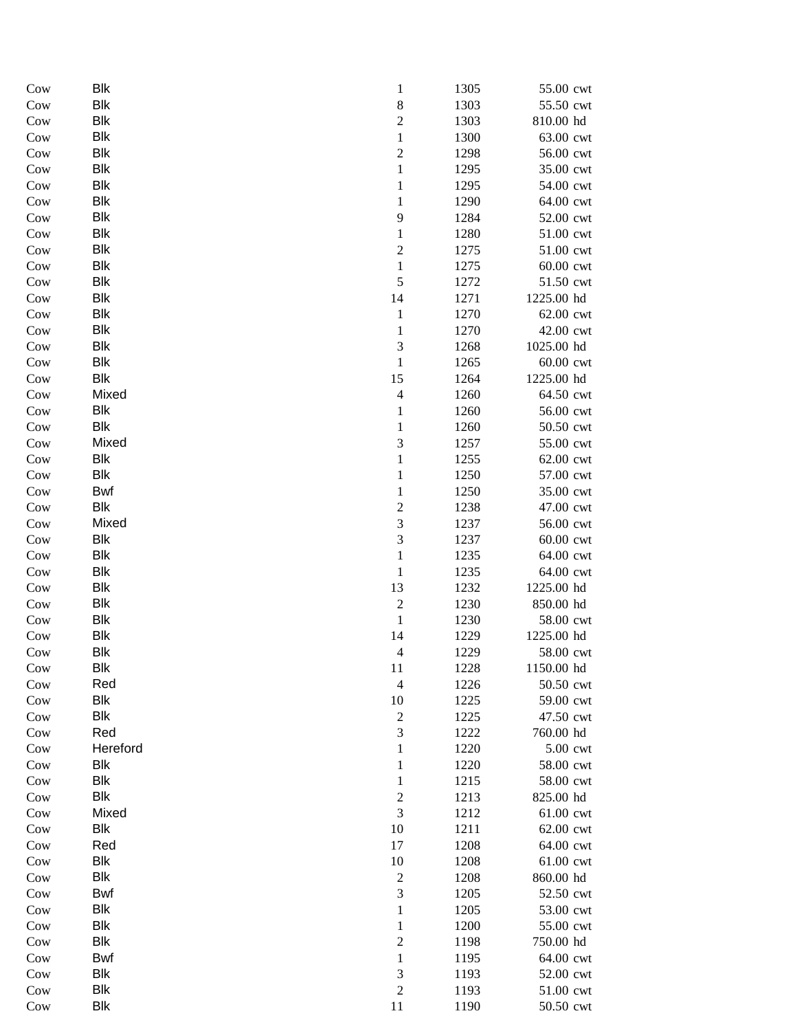| Cow        | Blk         | $\mathbf{1}$                       | 1305         | 55.00 cwt              |
|------------|-------------|------------------------------------|--------------|------------------------|
| Cow        | Blk         | $\,8$                              | 1303         | 55.50 cwt              |
| Cow        | Blk         | $\sqrt{2}$                         | 1303         | 810.00 hd              |
| Cow        | Blk         | $\mathbf{1}$                       | 1300         | 63.00 cwt              |
| Cow        | Blk         | $\sqrt{2}$                         | 1298         | 56.00 cwt              |
| Cow        | Blk         | $\mathbf{1}$                       | 1295         | 35.00 cwt              |
| Cow        | Blk         | $\mathbf{1}$                       | 1295         | 54.00 cwt              |
| Cow        | Blk         | $\mathbf{1}$                       | 1290         | 64.00 cwt              |
| Cow        | Blk         | 9                                  | 1284         | 52.00 cwt              |
| Cow        | Blk         | $\mathbf{1}$                       | 1280         | 51.00 cwt              |
| Cow        | Blk         | $\sqrt{2}$                         | 1275         | 51.00 cwt              |
| Cow        | Blk         | $\mathbf{1}$                       | 1275         | 60.00 cwt              |
| Cow        | Blk         | $\sqrt{5}$                         | 1272         | 51.50 cwt              |
| Cow        | Blk         | 14                                 | 1271         | 1225.00 hd             |
| Cow        | ${\sf Blk}$ | $\mathbf{1}$                       | 1270         | 62.00 cwt              |
| Cow        | Blk         | $\mathbf{1}$                       | 1270         | 42.00 cwt              |
| Cow        | Blk         | $\mathfrak{Z}$                     | 1268         | 1025.00 hd             |
| Cow        | <b>Blk</b>  | $\mathbf{1}$                       | 1265         | 60.00 cwt              |
| Cow        | Blk         | 15                                 | 1264         | 1225.00 hd             |
| Cow        | Mixed       | $\overline{\mathcal{A}}$           | 1260         | 64.50 cwt              |
| Cow        | <b>Blk</b>  | $\mathbf{1}$                       | 1260         | 56.00 cwt              |
| Cow        | Blk         | $\mathbf{1}$                       | 1260         | 50.50 cwt              |
| Cow        | Mixed       | $\mathfrak 3$                      | 1257         | 55.00 cwt              |
| Cow        | Blk         | $\mathbf{1}$                       | 1255         | 62.00 cwt              |
| Cow        | Blk         | $\mathbf{1}$                       | 1250         | 57.00 cwt              |
| Cow        | Bwf         | 1                                  | 1250         | 35.00 cwt              |
| Cow        | Blk         | $\overline{c}$                     | 1238         | 47.00 cwt              |
| Cow        | Mixed       | $\mathfrak{Z}$                     | 1237         | 56.00 cwt              |
| Cow        | Blk         | $\sqrt{3}$                         | 1237         | 60.00 cwt              |
| Cow        | Blk         | $\,1\,$                            | 1235         | 64.00 cwt              |
| Cow        | Blk         | $\,1\,$                            | 1235         | 64.00 cwt              |
| Cow        | <b>Blk</b>  | 13                                 | 1232         | 1225.00 hd             |
| Cow        | Blk         | $\overline{c}$                     | 1230         | 850.00 hd              |
| Cow        | Blk         | $\mathbf{1}$                       | 1230         | 58.00 cwt              |
| Cow        | Blk         | 14                                 | 1229         | 1225.00 hd             |
| Cow        | Blk         | $\overline{4}$                     | 1229         | 58.00 cwt              |
| Cow        | Blk         | 11                                 | 1228         | 1150.00 hd             |
| Cow        | Red         | $\overline{4}$                     | 1226         | 50.50 cwt              |
| Cow        | <b>Blk</b>  | 10                                 | 1225         | 59.00 cwt              |
| Cow        | Blk         | $\mathbf{2}$                       | 1225         | 47.50 cwt              |
| Cow        | Red         | $\mathfrak{Z}$                     | 1222         | 760.00 hd              |
| Cow        | Hereford    | 1                                  | 1220         | 5.00 cwt               |
| Cow        | <b>Blk</b>  | $\mathbf{1}$                       | 1220         | 58.00 cwt              |
| Cow        | <b>Blk</b>  | $\mathbf{1}$                       | 1215         | 58.00 cwt              |
| Cow        | Blk         | $\overline{c}$                     | 1213         | 825.00 hd              |
| Cow        | Mixed       | $\mathfrak{Z}$                     | 1212         | 61.00 cwt              |
| Cow        | Blk         | 10                                 | 1211         | 62.00 cwt              |
| Cow        | Red<br>Blk  | 17                                 | 1208         | 64.00 cwt              |
| Cow        | Blk         | 10                                 | 1208         | 61.00 cwt              |
| Cow<br>Cow | <b>Bwf</b>  | $\boldsymbol{2}$<br>$\mathfrak{Z}$ | 1208<br>1205 | 860.00 hd<br>52.50 cwt |
| Cow        | <b>Blk</b>  | 1                                  | 1205         | 53.00 cwt              |
| Cow        | <b>Blk</b>  | $\mathbf{1}$                       | 1200         | 55.00 cwt              |
| Cow        | <b>Blk</b>  | $\mathfrak 2$                      | 1198         | 750.00 hd              |
| Cow        | <b>Bwf</b>  | $\mathbf{1}$                       | 1195         | 64.00 cwt              |
| Cow        | Blk         | $\mathfrak{Z}$                     | 1193         | 52.00 cwt              |
| Cow        | Blk         | $\sqrt{2}$                         | 1193         | 51.00 cwt              |
| Cow        | <b>Blk</b>  | 11                                 | 1190         | 50.50 cwt              |
|            |             |                                    |              |                        |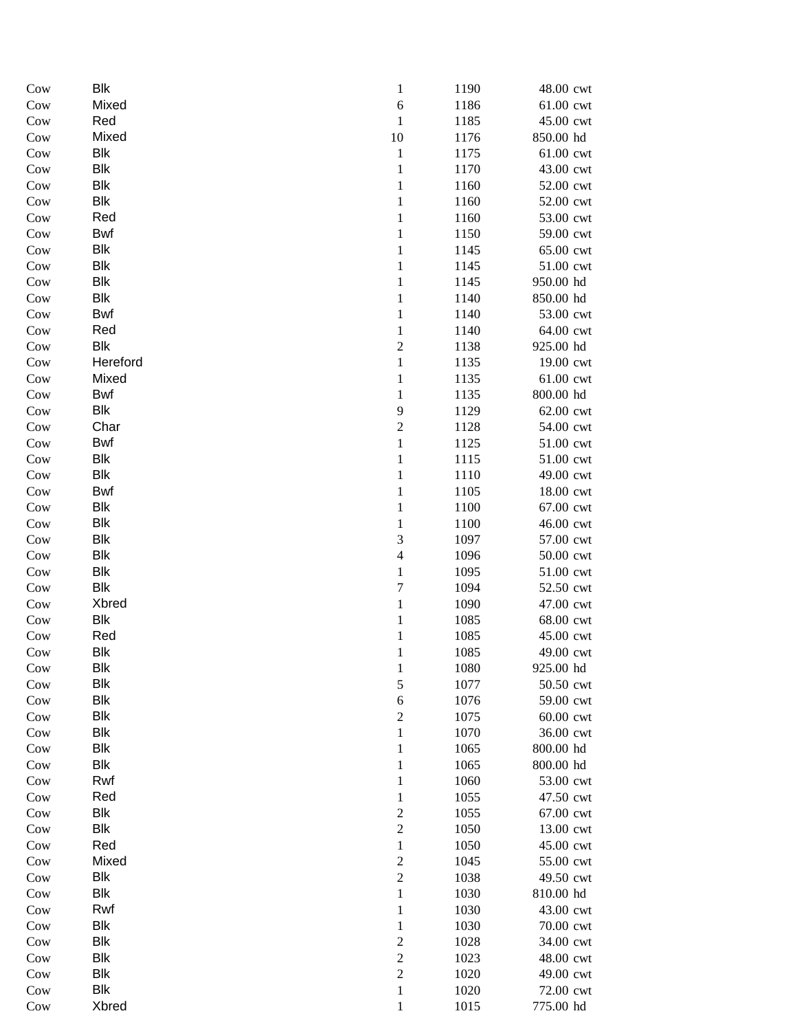| Cow | Blk        | $\mathbf{1}$            | 1190 | 48.00 cwt                         |
|-----|------------|-------------------------|------|-----------------------------------|
| Cow | Mixed      | $\boldsymbol{6}$        | 1186 | 61.00 cwt                         |
| Cow | Red        | $\mathbf{1}$            | 1185 | 45.00 cwt                         |
| Cow | Mixed      | 10                      | 1176 | 850.00 hd                         |
| Cow | Blk        | $\mathbf 1$             | 1175 | 61.00 cwt                         |
| Cow | Blk        | $\mathbf{1}$            | 1170 | 43.00 cwt                         |
| Cow | Blk        | $\mathbf{1}$            | 1160 | 52.00 cwt                         |
| Cow | Blk        | $\mathbf{1}$            | 1160 | 52.00 cwt                         |
| Cow | Red        | $\mathbf 1$             | 1160 | 53.00 cwt                         |
| Cow | Bwf        | $\mathbf{1}$            | 1150 | 59.00 cwt                         |
| Cow | Blk        | $\mathbf{1}$            | 1145 | 65.00 cwt                         |
| Cow | Blk        | $\mathbf{1}$            | 1145 | 51.00 cwt                         |
| Cow | Blk        | $\mathbf{1}$            | 1145 | 950.00 hd                         |
| Cow | Blk        | $\mathbf{1}$            | 1140 | 850.00 hd                         |
| Cow | Bwf        | $\,1\,$                 | 1140 | 53.00 cwt                         |
| Cow | Red        | $\mathbf{1}$            | 1140 | 64.00 cwt                         |
| Cow | Blk        | $\sqrt{2}$              | 1138 | 925.00 hd                         |
| Cow | Hereford   | $\,1$                   | 1135 | 19.00 cwt                         |
| Cow | Mixed      | $\mathbf{1}$            | 1135 | 61.00 cwt                         |
| Cow | <b>Bwf</b> | $\mathbf{1}$            | 1135 | 800.00 hd                         |
| Cow | Blk        | 9                       | 1129 | 62.00 cwt                         |
| Cow | Char       | $\boldsymbol{2}$        | 1128 | 54.00 cwt                         |
| Cow | Bwf        | $\mathbf{1}$            | 1125 | 51.00 cwt                         |
| Cow | Blk        | $\mathbf 1$             | 1115 | 51.00 cwt                         |
| Cow | Blk        | $\mathbf 1$             | 1110 | 49.00 cwt                         |
| Cow | Bwf        | $\mathbf 1$             | 1105 | 18.00 cwt                         |
| Cow | Blk        | $\mathbf{1}$            | 1100 | 67.00 cwt                         |
| Cow | Blk        | $\mathbf{1}$            | 1100 | 46.00 cwt                         |
| Cow | Blk        | 3                       | 1097 | 57.00 cwt                         |
| Cow | Blk        | $\overline{\mathbf{4}}$ | 1096 | $50.00$ $\ensuremath{\text{cwt}}$ |
| Cow | Blk        | $\,1$                   | 1095 | $51.00$ $\ensuremath{\text{cwt}}$ |
| Cow | Blk        | $\boldsymbol{7}$        | 1094 | 52.50 cwt                         |
| Cow | Xbred      | $\mathbf{1}$            | 1090 | 47.00 cwt                         |
| Cow | Blk        | $\mathbf{1}$            | 1085 | 68.00 cwt                         |
| Cow | Red        | $\mathbf{1}$            | 1085 | 45.00 cwt                         |
| Cow | Blk        | $\mathbf 1$             | 1085 | 49.00 cwt                         |
| Cow | Blk        | $\mathbf{1}$            | 1080 | 925.00 hd                         |
| Cow | Blk        | $\mathfrak s$           | 1077 | 50.50 cwt                         |
| Cow | Blk        | $\sqrt{6}$              | 1076 | 59.00 cwt                         |
| Cow | Blk        | $\boldsymbol{2}$        | 1075 | 60.00 cwt                         |
| Cow | Blk        | 1                       | 1070 | 36.00 cwt                         |
| Cow | Blk        | 1                       | 1065 | 800.00 hd                         |
| Cow | Blk        | $\mathbf{1}$            | 1065 | 800.00 hd                         |
| Cow | Rwf        | $\mathbf{1}$            | 1060 | 53.00 cwt                         |
| Cow | Red        | $\mathbf{1}$            | 1055 | 47.50 cwt                         |
| Cow | Blk        | $\boldsymbol{2}$        | 1055 | 67.00 cwt                         |
| Cow | <b>Blk</b> | $\sqrt{2}$              | 1050 | 13.00 cwt                         |
| Cow | Red        | $\mathbf{1}$            | 1050 | 45.00 cwt                         |
| Cow | Mixed      | $\sqrt{2}$              | 1045 | 55.00 cwt                         |
| Cow | Blk        | $\sqrt{2}$              | 1038 | 49.50 cwt                         |
| Cow | <b>Blk</b> | $\,1$                   | 1030 | 810.00 hd                         |
| Cow | Rwf        | $\mathbf{1}$            | 1030 | 43.00 cwt                         |
| Cow | Blk        | 1                       | 1030 | 70.00 cwt                         |
| Cow | Blk        | $\boldsymbol{2}$        | 1028 | 34.00 cwt                         |
| Cow | <b>Blk</b> | $\boldsymbol{2}$        | 1023 | 48.00 cwt                         |
| Cow | <b>Blk</b> | $\sqrt{2}$              | 1020 | 49.00 cwt                         |
| Cow | <b>Blk</b> | $\mathbf{1}$            | 1020 | 72.00 cwt                         |
| Cow | Xbred      | $\mathbf{1}$            | 1015 | 775.00 hd                         |
|     |            |                         |      |                                   |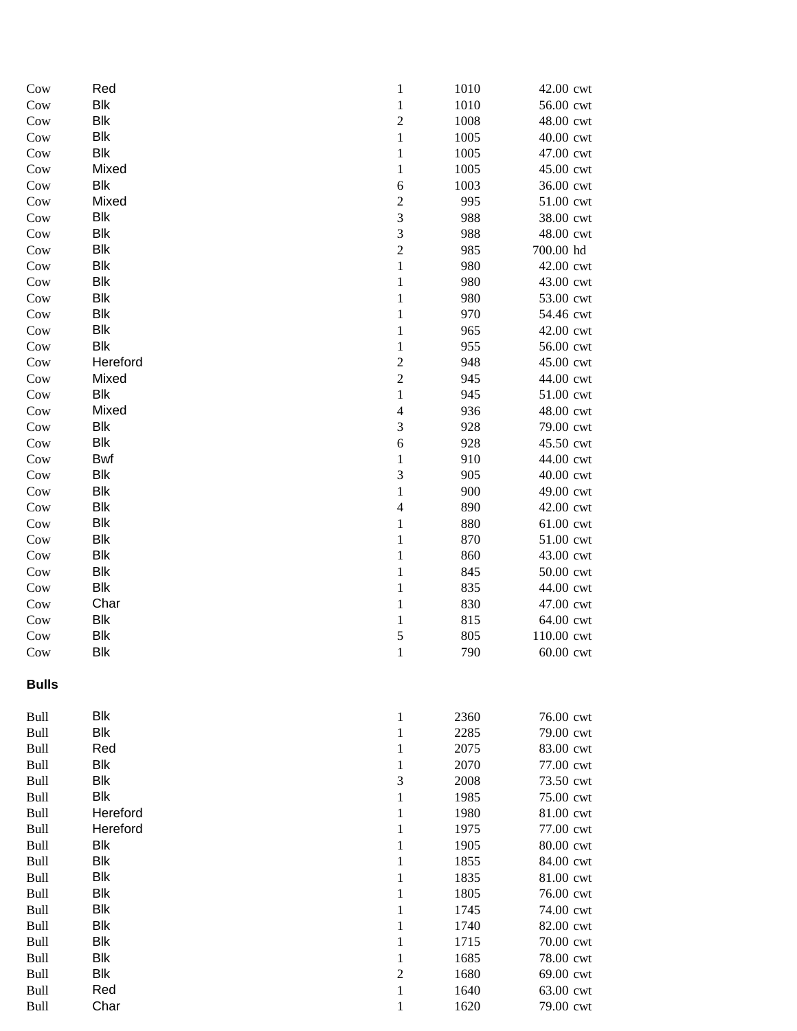| $_{\text{Cow}}$ | Red        | $\mathbf{1}$   | 1010 | 42.00 cwt  |
|-----------------|------------|----------------|------|------------|
| Cow             | <b>Blk</b> | $\mathbf{1}$   | 1010 | 56.00 cwt  |
| $_{\text{Cow}}$ | <b>Blk</b> | $\mathbf{2}$   | 1008 | 48.00 cwt  |
| Cow             | <b>Blk</b> | $\mathbf{1}$   | 1005 | 40.00 cwt  |
| Cow             | <b>Blk</b> | $\mathbf{1}$   | 1005 | 47.00 cwt  |
| Cow             | Mixed      | $\mathbf{1}$   | 1005 | 45.00 cwt  |
| Cow             | Blk        | 6              | 1003 | 36.00 cwt  |
| Cow             | Mixed      | $\overline{c}$ | 995  | 51.00 cwt  |
| Cow             | <b>Blk</b> | $\sqrt{3}$     | 988  | 38.00 cwt  |
| $_{\text{Cow}}$ | <b>Blk</b> | $\mathfrak 3$  | 988  | 48.00 cwt  |
| $_{\text{Cow}}$ | <b>Blk</b> | $\sqrt{2}$     | 985  | 700.00 hd  |
| Cow             | <b>Blk</b> | $\,1\,$        | 980  | 42.00 cwt  |
| Cow             | <b>Blk</b> | $\mathbf{1}$   | 980  | 43.00 cwt  |
| Cow             | <b>Blk</b> | $\mathbf{1}$   | 980  | 53.00 cwt  |
| $_{\text{Cow}}$ | <b>Blk</b> | $\mathbf{1}$   | 970  | 54.46 cwt  |
| Cow             | <b>Blk</b> | 1              | 965  | 42.00 cwt  |
| $_{\text{Cow}}$ | <b>Blk</b> | 1              | 955  | 56.00 cwt  |
| $_{\text{Cow}}$ | Hereford   | $\mathbf{2}$   | 948  | 45.00 cwt  |
| $_{\text{Cow}}$ | Mixed      | $\mathbf{2}$   | 945  | 44.00 cwt  |
| Cow             | <b>Blk</b> | $\mathbf{1}$   | 945  | 51.00 cwt  |
| Cow             | Mixed      | $\overline{4}$ | 936  | 48.00 cwt  |
| Cow             | <b>Blk</b> | 3              | 928  | 79.00 cwt  |
| Cow             | <b>Blk</b> | 6              | 928  | 45.50 cwt  |
| Cow             | <b>Bwf</b> | $\mathbf{1}$   | 910  | 44.00 cwt  |
| $_{\text{Cow}}$ | <b>Blk</b> | 3              | 905  | 40.00 cwt  |
| Cow             | <b>Blk</b> | $\mathbf{1}$   | 900  | 49.00 cwt  |
| $_{\text{Cow}}$ | <b>Blk</b> | $\overline{4}$ | 890  | 42.00 cwt  |
| $_{\text{Cow}}$ | <b>Blk</b> | $\mathbf{1}$   | 880  | 61.00 cwt  |
| $_{\text{Cow}}$ | <b>Blk</b> | $\mathbf{1}$   | 870  | 51.00 cwt  |
| Cow             | <b>Blk</b> | $\mathbf{1}$   | 860  | 43.00 cwt  |
| Cow             | <b>Blk</b> | $\mathbf{1}$   | 845  | 50.00 cwt  |
| Cow             | <b>Blk</b> | $\mathbf{1}$   | 835  | 44.00 cwt  |
| Cow             | Char       | 1              | 830  | 47.00 cwt  |
| Cow             | <b>Blk</b> | 1              | 815  | 64.00 cwt  |
| Cow             | <b>Blk</b> | 5              | 805  | 110.00 cwt |
| Cow             | <b>Blk</b> | $\mathbf{1}$   | 790  | 60.00 cwt  |
| <b>Bulls</b>    |            |                |      |            |
| Bull            | Blk        | 1              | 2360 | 76.00 cwt  |
| Bull            | <b>Blk</b> | 1              | 2285 | 79.00 cwt  |
| Bull            | Red        | 1              | 2075 | 83.00 cwt  |
| Bull            | <b>Blk</b> | 1              | 2070 | 77.00 cwt  |
| Bull            | <b>Blk</b> | 3              | 2008 | 73.50 cwt  |
| Bull            | <b>Blk</b> | 1              | 1985 | 75.00 cwt  |
| Bull            | Hereford   | 1              | 1980 | 81.00 cwt  |
| Bull            | Hereford   | 1              | 1975 | 77.00 cwt  |
| Bull            | <b>Blk</b> | 1              | 1905 | 80.00 cwt  |
| Bull            | <b>Blk</b> | 1              | 1855 | 84.00 cwt  |
| Bull            | <b>Blk</b> | 1              | 1835 | 81.00 cwt  |
| Bull            | <b>Blk</b> | 1              | 1805 | 76.00 cwt  |
| Bull            | <b>Blk</b> | 1              | 1745 | 74.00 cwt  |
| Bull            | <b>Blk</b> | 1              | 1740 | 82.00 cwt  |
| Bull            | <b>Blk</b> | 1              | 1715 | 70.00 cwt  |
| Bull            | <b>Blk</b> | 1              | 1685 | 78.00 cwt  |
| Bull            | <b>Blk</b> | $\overline{c}$ | 1680 | 69.00 cwt  |
| Bull            | Red        | $\mathbf{1}$   | 1640 | 63.00 cwt  |
| Bull            | Char       | 1              | 1620 | 79.00 cwt  |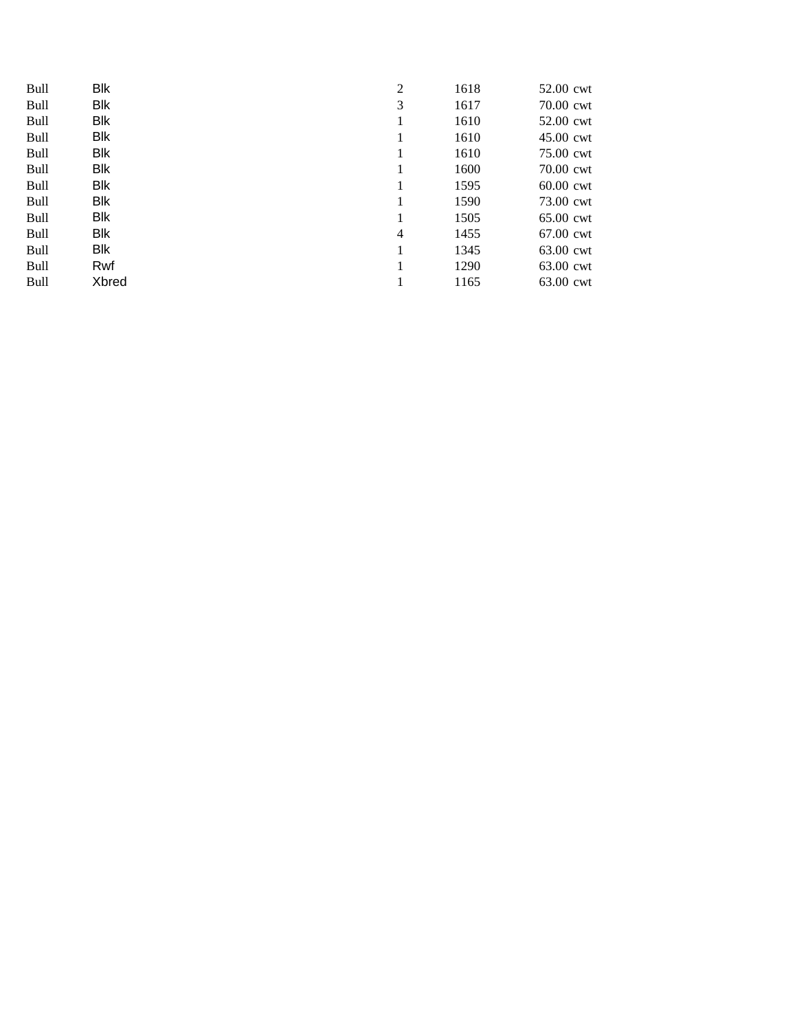| <b>Bull</b> | <b>Blk</b> | $\overline{c}$ | 1618 | 52.00 cwt   |  |
|-------------|------------|----------------|------|-------------|--|
| <b>Bull</b> | <b>Blk</b> | 3              | 1617 | 70.00 cwt   |  |
| Bull        | <b>Blk</b> |                | 1610 | 52.00 cwt   |  |
| <b>Bull</b> | <b>Blk</b> |                | 1610 | $45.00$ cwt |  |
| <b>Bull</b> | <b>Blk</b> | 1              | 1610 | 75.00 cwt   |  |
| Bull        | <b>Blk</b> | 1              | 1600 | 70.00 cwt   |  |
| <b>Bull</b> | Blk        | 1              | 1595 | 60.00 cwt   |  |
| <b>Bull</b> | <b>Blk</b> | 1              | 1590 | 73.00 cwt   |  |
| Bull        | <b>Blk</b> | 1              | 1505 | $65.00$ cwt |  |
| <b>Bull</b> | <b>Blk</b> | 4              | 1455 | 67.00 cwt   |  |
| <b>Bull</b> | <b>Blk</b> |                | 1345 | 63.00 cwt   |  |
| Bull        | Rwf        |                | 1290 | 63.00 cwt   |  |
| <b>Bull</b> | Xbred      | 1              | 1165 | 63.00 cwt   |  |
|             |            |                |      |             |  |